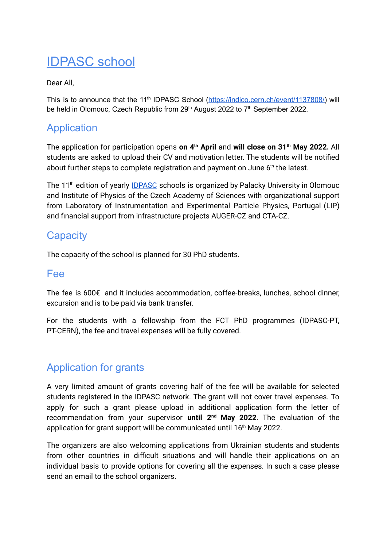# IDPASC school

### Dear All,

This is to announce that the 11<sup>th</sup> [IDPASC](https://indico.cern.ch/event/1137808/) School (*https://indico.cern.ch/event/1137808/*) will be held in Olomouc, Czech Republic from 29<sup>[th](https://indico.cern.ch/event/1137808/)</sup> August 2022 to 7<sup>th</sup> September 2022.

## Application

The application for participation opens **on 4 [th](https://indico.cern.ch/event/1137808/) April** and **will close on 31 [th](https://indico.cern.ch/event/1137808/) May 2022.** All students are asked to upload their CV and motivation letter. The students will be notified about fur[th](https://indico.cern.ch/event/1137808/)er steps to complete registration and payment on June  $6<sup>th</sup>$  the latest.

The 11<sup>[th](https://indico.cern.ch/event/1137808/)</sup> edition of yearly **[IDPASC](https://urldefense.proofpoint.com/v2/url?u=https-3A__idpasc.lip.pt_&d=DwMDaQ&c=gRgGjJ3BkIsb5y6s49QqsA&r=h__SraK6pOcfWOUC9vTZnlmUmw6bU3Dqcv1bev5AqBjdkyGTmN8J3ec9r1D1jeFr&m=qasglcV2WxZ4DNeNAaAm19wz6jNawcmoQmb2zO6hcPQfVwCU8vWDyN2vDhgGO-vy&s=-VHUuaCYyQ3s8l7qwiiuCouS3c7xtTmsPqpmfemKgq0&e=)** schools is organized by Palacky University in Olomouc and Institute of Physics of the Czech Academy of Sciences with organizational support from Laboratory of Instrumentation and Experimental Particle Physics, Portugal (LIP) and financial support from infrastructure projects AUGER-CZ and CTA-CZ.

## **Capacity**

The capacity of the school is planned for 30 PhD students.

## Fee

The fee is 600€ and it includes accommodation, coffee-breaks, lunches, school dinner, excursion and is to be paid via bank transfer.

For the students with a fellowship from the FCT PhD programmes (IDPASC-PT, PT-CERN), the fee and travel expenses will be fully covered.

# Application for grants

A very limited amount of grants covering half of the fee will be available for selected students registered in the IDPASC network. The grant will not cover travel expenses. To apply for such a grant please upload in additional application form the letter of recomme[nd](https://indico.cern.ch/event/1137808/)ation from your supervisor **until 2<sup>nd</sup> May 2022**. The evaluation of the application for grant support will be communicated until 16<sup>[th](https://indico.cern.ch/event/1137808/)</sup> May 2022.

The organizers are also welcoming applications from Ukrainian students and students from other countries in difficult situations and will handle their applications on an individual basis to provide options for covering all the expenses. In such a case please send an email to the school organizers.